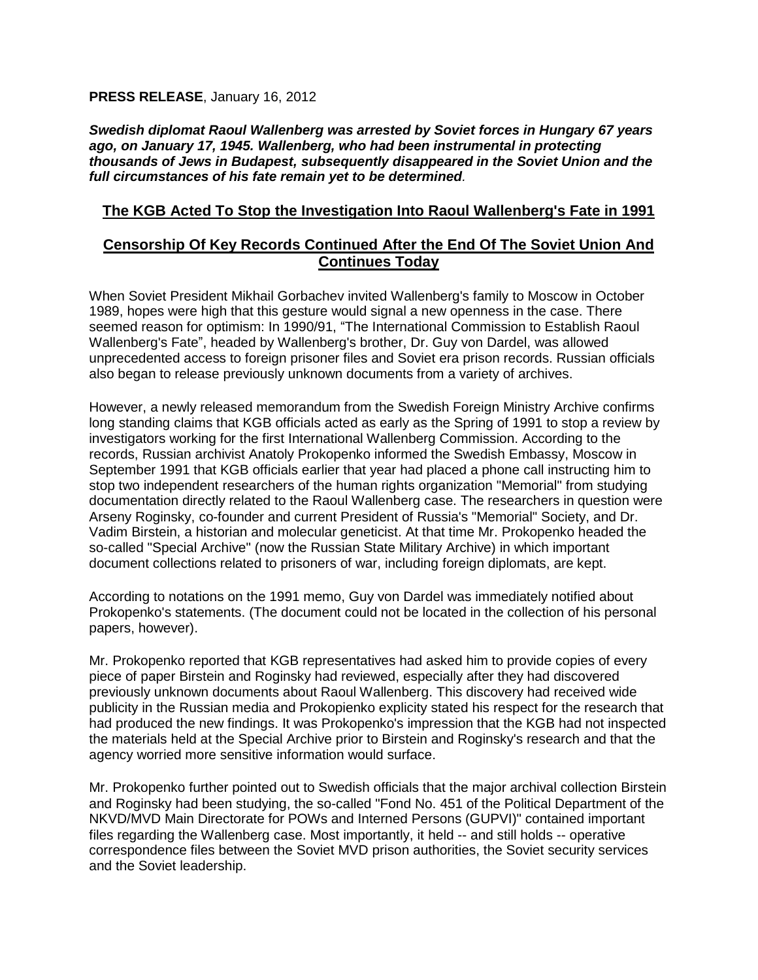**PRESS RELEASE**, January 16, 2012

*Swedish diplomat Raoul Wallenberg was arrested by Soviet forces in Hungary 67 years ago, on January 17, 1945. Wallenberg, who had been instrumental in protecting thousands of Jews in Budapest, subsequently disappeared in the Soviet Union and the full circumstances of his fate remain yet to be determined.*

## **The KGB Acted To Stop the Investigation Into Raoul Wallenberg's Fate in 1991**

## **Censorship Of Key Records Continued After the End Of The Soviet Union And Continues Today**

When Soviet President Mikhail Gorbachev invited Wallenberg's family to Moscow in October 1989, hopes were high that this gesture would signal a new openness in the case. There seemed reason for optimism: In 1990/91, "The International Commission to Establish Raoul Wallenberg's Fate", headed by Wallenberg's brother, Dr. Guy von Dardel, was allowed unprecedented access to foreign prisoner files and Soviet era prison records. Russian officials also began to release previously unknown documents from a variety of archives.

However, a newly released memorandum from the Swedish Foreign Ministry Archive confirms long standing claims that KGB officials acted as early as the Spring of 1991 to stop a review by investigators working for the first International Wallenberg Commission. According to the records, Russian archivist Anatoly Prokopenko informed the Swedish Embassy, Moscow in September 1991 that KGB officials earlier that year had placed a phone call instructing him to stop two independent researchers of the human rights organization "Memorial" from studying documentation directly related to the Raoul Wallenberg case. The researchers in question were Arseny Roginsky, co-founder and current President of Russia's "Memorial" Society, and Dr. Vadim Birstein, a historian and molecular geneticist. At that time Mr. Prokopenko headed the so-called "Special Archive" (now the Russian State Military Archive) in which important document collections related to prisoners of war, including foreign diplomats, are kept.

According to notations on the 1991 memo, Guy von Dardel was immediately notified about Prokopenko's statements. (The document could not be located in the collection of his personal papers, however).

Mr. Prokopenko reported that KGB representatives had asked him to provide copies of every piece of paper Birstein and Roginsky had reviewed, especially after they had discovered previously unknown documents about Raoul Wallenberg. This discovery had received wide publicity in the Russian media and Prokopienko explicity stated his respect for the research that had produced the new findings. It was Prokopenko's impression that the KGB had not inspected the materials held at the Special Archive prior to Birstein and Roginsky's research and that the agency worried more sensitive information would surface.

Mr. Prokopenko further pointed out to Swedish officials that the major archival collection Birstein and Roginsky had been studying, the so-called "Fond No. 451 of the Political Department of the NKVD/MVD Main Directorate for POWs and Interned Persons (GUPVI)" contained important files regarding the Wallenberg case. Most importantly, it held -- and still holds -- operative correspondence files between the Soviet MVD prison authorities, the Soviet security services and the Soviet leadership.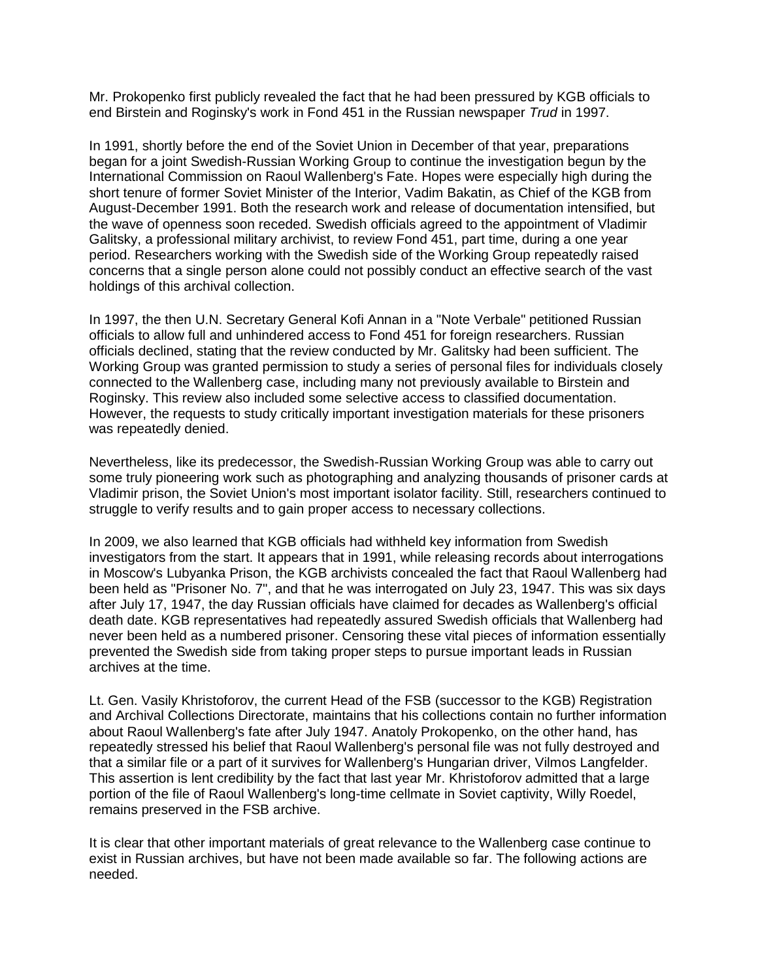Mr. Prokopenko first publicly revealed the fact that he had been pressured by KGB officials to end Birstein and Roginsky's work in Fond 451 in the Russian newspaper *Trud* in 1997.

In 1991, shortly before the end of the Soviet Union in December of that year, preparations began for a joint Swedish-Russian Working Group to continue the investigation begun by the International Commission on Raoul Wallenberg's Fate. Hopes were especially high during the short tenure of former Soviet Minister of the Interior, Vadim Bakatin, as Chief of the KGB from August-December 1991. Both the research work and release of documentation intensified, but the wave of openness soon receded. Swedish officials agreed to the appointment of Vladimir Galitsky, a professional military archivist, to review Fond 451, part time, during a one year period. Researchers working with the Swedish side of the Working Group repeatedly raised concerns that a single person alone could not possibly conduct an effective search of the vast holdings of this archival collection.

In 1997, the then U.N. Secretary General Kofi Annan in a "Note Verbale" petitioned Russian officials to allow full and unhindered access to Fond 451 for foreign researchers. Russian officials declined, stating that the review conducted by Mr. Galitsky had been sufficient. The Working Group was granted permission to study a series of personal files for individuals closely connected to the Wallenberg case, including many not previously available to Birstein and Roginsky. This review also included some selective access to classified documentation. However, the requests to study critically important investigation materials for these prisoners was repeatedly denied.

Nevertheless, like its predecessor, the Swedish-Russian Working Group was able to carry out some truly pioneering work such as photographing and analyzing thousands of prisoner cards at Vladimir prison, the Soviet Union's most important isolator facility. Still, researchers continued to struggle to verify results and to gain proper access to necessary collections.

In 2009, we also learned that KGB officials had withheld key information from Swedish investigators from the start. It appears that in 1991, while releasing records about interrogations in Moscow's Lubyanka Prison, the KGB archivists concealed the fact that Raoul Wallenberg had been held as "Prisoner No. 7", and that he was interrogated on July 23, 1947. This was six days after July 17, 1947, the day Russian officials have claimed for decades as Wallenberg's official death date. KGB representatives had repeatedly assured Swedish officials that Wallenberg had never been held as a numbered prisoner. Censoring these vital pieces of information essentially prevented the Swedish side from taking proper steps to pursue important leads in Russian archives at the time.

Lt. Gen. Vasily Khristoforov, the current Head of the FSB (successor to the KGB) Registration and Archival Collections Directorate, maintains that his collections contain no further information about Raoul Wallenberg's fate after July 1947. Anatoly Prokopenko, on the other hand, has repeatedly stressed his belief that Raoul Wallenberg's personal file was not fully destroyed and that a similar file or a part of it survives for Wallenberg's Hungarian driver, Vilmos Langfelder. This assertion is lent credibility by the fact that last year Mr. Khristoforov admitted that a large portion of the file of Raoul Wallenberg's long-time cellmate in Soviet captivity, Willy Roedel, remains preserved in the FSB archive.

It is clear that other important materials of great relevance to the Wallenberg case continue to exist in Russian archives, but have not been made available so far. The following actions are needed.